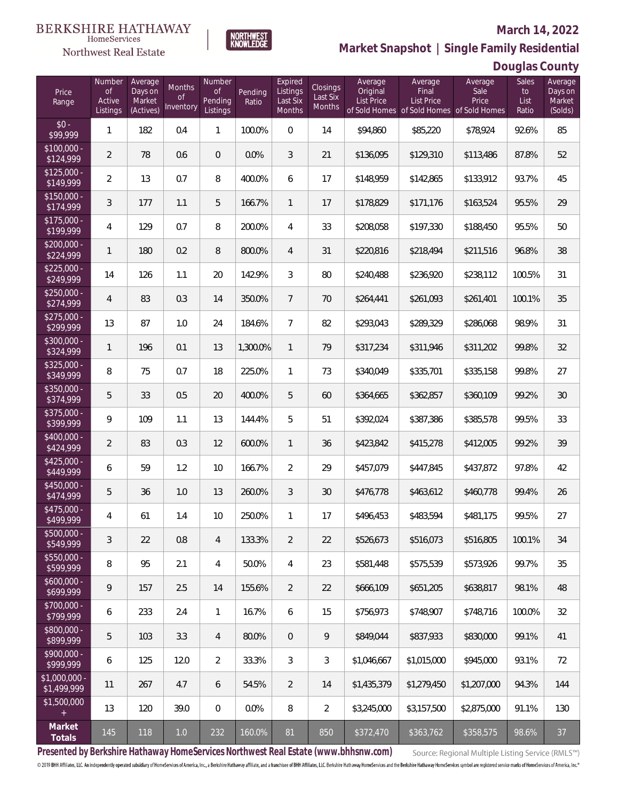### Northwest Real Estate

#### **March 14, 2022**



| Douglas County |  |  |  |
|----------------|--|--|--|
|----------------|--|--|--|

| Price<br>Range               | Number<br><b>of</b><br>Active<br>Listings | Average<br>Days on<br>Market<br>(Actives) | <b>Months</b><br><b>of</b><br>Inventory | Number<br><b>of</b><br>Pending<br>Listings | Pending<br>Ratio | Expired<br>Listings<br>Last Six<br>Months | Closings<br>Last Six<br>Months | Average<br>Original<br><b>List Price</b> | Average<br>Final<br><b>List Price</b> | Average<br>Sale<br>Price<br>of Sold Homes of Sold Homes of Sold Homes | <b>Sales</b><br>to<br>List<br>Ratio | Average<br>Days on<br>Market<br>(Solds) |
|------------------------------|-------------------------------------------|-------------------------------------------|-----------------------------------------|--------------------------------------------|------------------|-------------------------------------------|--------------------------------|------------------------------------------|---------------------------------------|-----------------------------------------------------------------------|-------------------------------------|-----------------------------------------|
| $$0 -$<br>\$99,999           | $\mathbf{1}$                              | 182                                       | 0.4                                     | $\mathbf{1}$                               | 100.0%           | $\overline{0}$                            | 14                             | \$94,860                                 | \$85,220                              | \$78,924                                                              | 92.6%                               | 85                                      |
| $$100,000 -$<br>\$124,999    | $\overline{2}$                            | 78                                        | 0.6                                     | $\overline{0}$                             | 0.0%             | 3                                         | 21                             | \$136,095                                | \$129,310                             | \$113,486                                                             | 87.8%                               | 52                                      |
| $$125,000 -$<br>\$149,999    | $\overline{2}$                            | 13                                        | 0.7                                     | 8                                          | 400.0%           | 6                                         | 17                             | \$148,959                                | \$142,865                             | \$133,912                                                             | 93.7%                               | 45                                      |
| $$150,000 -$<br>\$174,999    | 3                                         | 177                                       | 1.1                                     | 5                                          | 166.7%           | $\mathbf{1}$                              | 17                             | \$178,829                                | \$171,176                             | \$163,524                                                             | 95.5%                               | 29                                      |
| $$175,000 -$<br>3199,999     | 4                                         | 129                                       | 0.7                                     | 8                                          | 200.0%           | $\overline{4}$                            | 33                             | \$208,058                                | \$197,330                             | \$188,450                                                             | 95.5%                               | 50                                      |
| $$200,000 -$<br>\$224,999    | $\mathbf{1}$                              | 180                                       | 0.2                                     | 8                                          | 800.0%           | $\overline{4}$                            | 31                             | \$220,816                                | \$218,494                             | \$211,516                                                             | 96.8%                               | 38                                      |
| $$225,000 -$<br>\$249,999    | 14                                        | 126                                       | 1.1                                     | 20                                         | 142.9%           | $\overline{3}$                            | 80                             | \$240,488                                | \$236,920                             | \$238,112                                                             | 100.5%                              | 31                                      |
| $$250,000 -$<br>\$274,999    | 4                                         | 83                                        | 0.3                                     | 14                                         | 350.0%           | $7\overline{ }$                           | 70                             | \$264,441                                | \$261,093                             | \$261,401                                                             | 100.1%                              | 35                                      |
| $$275,000 -$<br>\$299,999    | 13                                        | 87                                        | 1.0                                     | 24                                         | 184.6%           | $7\overline{ }$                           | 82                             | \$293,043                                | \$289,329                             | \$286,068                                                             | 98.9%                               | 31                                      |
| $$300,000 -$<br>\$324,999    | $\mathbf{1}$                              | 196                                       | 0.1                                     | 13                                         | 1,300.0%         | $\mathbf{1}$                              | 79                             | \$317,234                                | \$311,946                             | \$311,202                                                             | 99.8%                               | 32                                      |
| $$325,000 -$<br>\$349,999    | 8                                         | 75                                        | 0.7                                     | 18                                         | 225.0%           | $\mathbf{1}$                              | 73                             | \$340,049                                | \$335,701                             | \$335,158                                                             | 99.8%                               | 27                                      |
| $$350,000 -$<br>\$374,999    | 5                                         | 33                                        | 0.5                                     | 20                                         | 400.0%           | 5                                         | 60                             | \$364,665                                | \$362,857                             | \$360,109                                                             | 99.2%                               | 30                                      |
| $$375,000 -$<br>\$399,999    | 9                                         | 109                                       | 1.1                                     | 13                                         | 144.4%           | 5                                         | 51                             | \$392,024                                | \$387,386                             | \$385,578                                                             | 99.5%                               | 33                                      |
| $$400,000 -$<br>\$424,999    | $\overline{2}$                            | 83                                        | 0.3                                     | 12                                         | 600.0%           | $\mathbf{1}$                              | 36                             | \$423,842                                | \$415,278                             | \$412,005                                                             | 99.2%                               | 39                                      |
| $$425,000 -$<br>\$449,999    | 6                                         | 59                                        | 1.2                                     | 10                                         | 166.7%           | $\overline{2}$                            | 29                             | \$457,079                                | \$447,845                             | \$437,872                                                             | 97.8%                               | 42                                      |
| $$450,000 -$<br>\$474,999    | 5                                         | 36                                        | 1.0                                     | 13                                         | 260.0%           | $\overline{3}$                            | 30                             | \$476,778                                | \$463,612                             | \$460,778                                                             | 99.4%                               | 26                                      |
| $$475,000 -$<br>\$499,999    | 4                                         | 61                                        | 1.4                                     | 10                                         | 250.0%           | $\mathbf{1}$                              | 17                             | \$496,453                                | \$483,594                             | \$481,175                                                             | 99.5%                               | 27                                      |
| $$500,000 -$<br>\$549,999    | 3                                         | 22                                        | 0.8                                     | 4                                          | 133.3%           | $\overline{2}$                            | 22                             | \$526,673                                | \$516,073                             | \$516,805                                                             | 100.1%                              | 34                                      |
| $$550,000 -$<br>\$599,999    | 8                                         | 95                                        | 2.1                                     | 4                                          | 50.0%            | 4                                         | 23                             | \$581,448                                | \$575,539                             | \$573,926                                                             | 99.7%                               | 35                                      |
| $$600,000 -$<br>\$699,999    | 9                                         | 157                                       | 2.5                                     | 14                                         | 155.6%           | $\overline{2}$                            | 22                             | \$666,109                                | \$651,205                             | \$638,817                                                             | 98.1%                               | 48                                      |
| $$700,000 -$<br>\$799,999    | 6                                         | 233                                       | 2.4                                     | $\mathbf{1}$                               | 16.7%            | 6                                         | 15                             | \$756,973                                | \$748,907                             | \$748,716                                                             | 100.0%                              | 32                                      |
| \$800,000 -<br>\$899,999     | 5                                         | 103                                       | 3.3                                     | $\overline{4}$                             | 80.0%            | $\overline{0}$                            | 9                              | \$849,044                                | \$837,933                             | \$830,000                                                             | 99.1%                               | 41                                      |
| $$900,000 -$<br>\$999,999    | 6                                         | 125                                       | 12.0                                    | $\overline{2}$                             | 33.3%            | 3                                         | 3                              | \$1,046,667                              | \$1,015,000                           | \$945,000                                                             | 93.1%                               | 72                                      |
| \$1,000,000 -<br>\$1,499,999 | 11                                        | 267                                       | 4.7                                     | 6                                          | 54.5%            | $\overline{2}$                            | 14                             | \$1,435,379                              | \$1,279,450                           | \$1,207,000                                                           | 94.3%                               | 144                                     |
| \$1,500,000<br>$+$           | 13                                        | 120                                       | 39.0                                    | $\overline{0}$                             | 0.0%             | 8                                         | $\overline{2}$                 | \$3,245,000                              | \$3,157,500                           | \$2,875,000                                                           | 91.1%                               | 130                                     |
| Market<br>Totals             | 145                                       | 118                                       | $1.0\,$                                 | 232                                        | 160.0%           | 81                                        | 850                            | \$372,470                                | \$363,762                             | \$358,575                                                             | 98.6%                               | 37                                      |

NORTHWEST<br>KNOWLFDGF

**Presented by Berkshire Hathaway HomeServices Northwest Real Estate (www.bhhsnw.com)**

Source: Regional Multiple Listing Service (RMLS™)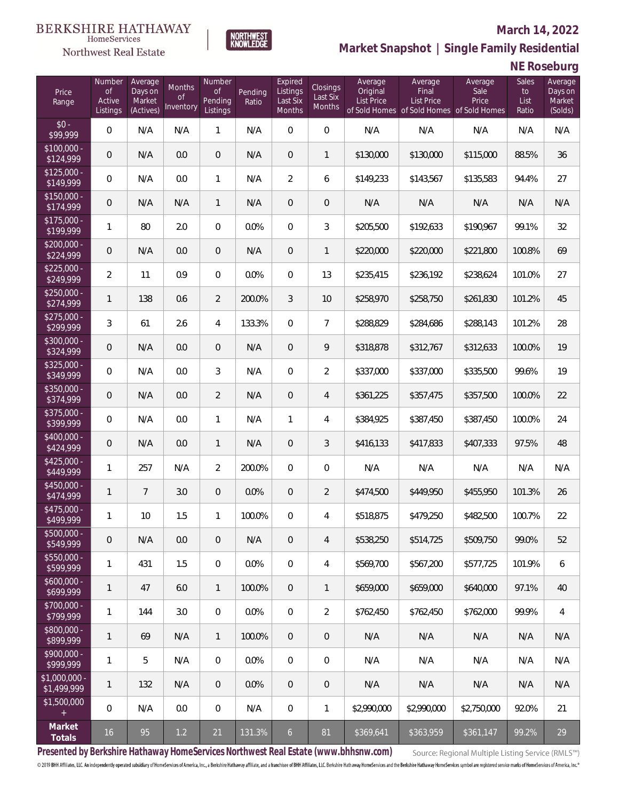### Northwest Real Estate

#### **March 14, 2022**



|  | NE Roseburg |  |
|--|-------------|--|
|--|-------------|--|

| Price<br>Range                                  | Number<br><b>of</b><br><b>Active</b><br>Listings | Average<br>Days on<br>Market<br>(Actives) | <b>Months</b><br><b>of</b><br>Inventory | Number<br><b>of</b><br>Pending<br>Listings | Pending<br>Ratio | Expired<br>Listings<br>Last Six<br>Months | Closings<br>Last Six<br>Months | Average<br>Original<br>List Price | Average<br>Final<br><b>List Price</b> | Average<br>Sale<br>Price<br>of Sold Homes of Sold Homes of Sold Homes | <b>Sales</b><br>to<br>List<br>Ratio | Average<br>Days on<br>Market<br>(Solds) |
|-------------------------------------------------|--------------------------------------------------|-------------------------------------------|-----------------------------------------|--------------------------------------------|------------------|-------------------------------------------|--------------------------------|-----------------------------------|---------------------------------------|-----------------------------------------------------------------------|-------------------------------------|-----------------------------------------|
| $$0 -$<br>\$99,999                              | 0                                                | N/A                                       | N/A                                     | 1                                          | N/A              | 0                                         | $\overline{0}$                 | N/A                               | N/A                                   | N/A                                                                   | N/A                                 | N/A                                     |
| $$100,000 -$<br>\$124,999                       | 0                                                | N/A                                       | 0.0                                     | $\overline{0}$                             | N/A              | $\overline{0}$                            | 1                              | \$130,000                         | \$130,000                             | \$115,000                                                             | 88.5%                               | 36                                      |
| $$125,000 -$<br>\$149,999                       | 0                                                | N/A                                       | 0.0                                     | 1                                          | N/A              | $\overline{2}$                            | 6                              | \$149,233                         | \$143,567                             | \$135,583                                                             | 94.4%                               | 27                                      |
| $$150,000 -$<br>\$174,999                       | $\mathbf 0$                                      | N/A                                       | N/A                                     | $\mathbf{1}$                               | N/A              | $\overline{0}$                            | $\mathbf 0$                    | N/A                               | N/A                                   | N/A                                                                   | N/A                                 | N/A                                     |
| $$175,000 -$<br>\$199,999                       | 1                                                | 80                                        | 2.0                                     | $\overline{0}$                             | 0.0%             | $\overline{0}$                            | 3                              | \$205,500                         | \$192,633                             | \$190,967                                                             | 99.1%                               | 32                                      |
| $$200,000 -$<br>\$224,999                       | $\mathbf 0$                                      | N/A                                       | 0.0                                     | $\overline{0}$                             | N/A              | $\overline{0}$                            | 1                              | \$220,000                         | \$220,000                             | \$221,800                                                             | 100.8%                              | 69                                      |
| $$225,000 -$<br>\$249,999                       | $\overline{2}$                                   | 11                                        | 0.9                                     | $\overline{0}$                             | 0.0%             | $\overline{0}$                            | 13                             | \$235,415                         | \$236,192                             | \$238,624                                                             | 101.0%                              | 27                                      |
| $$250,000 -$<br>\$274,999                       | $\mathbf{1}$                                     | 138                                       | 0.6                                     | $\overline{2}$                             | 200.0%           | 3                                         | 10                             | \$258,970                         | \$258,750                             | \$261,830                                                             | 101.2%                              | 45                                      |
| $$275,000 -$<br>\$299,999                       | 3                                                | 61                                        | 2.6                                     | $\overline{4}$                             | 133.3%           | $\overline{0}$                            | $\overline{7}$                 | \$288,829                         | \$284,686                             | \$288,143                                                             | 101.2%                              | 28                                      |
| $$300,000 -$<br>\$324,999                       | $\mathbf 0$                                      | N/A                                       | 0.0                                     | $\overline{0}$                             | N/A              | 0                                         | 9                              | \$318,878                         | \$312,767                             | \$312,633                                                             | 100.0%                              | 19                                      |
| $$325,000 -$<br>\$349,999                       | 0                                                | N/A                                       | 0.0                                     | 3                                          | N/A              | 0                                         | $\overline{2}$                 | \$337,000                         | \$337,000                             | \$335,500                                                             | 99.6%                               | 19                                      |
| $$350,000 -$<br>\$374,999                       | $\mathbf 0$                                      | N/A                                       | 0.0                                     | $\overline{2}$                             | N/A              | $\overline{0}$                            | 4                              | \$361,225                         | \$357,475                             | \$357,500                                                             | 100.0%                              | 22                                      |
| \$375,000 -<br>\$399,999                        | 0                                                | N/A                                       | 0.0                                     | $\mathbf{1}$                               | N/A              | $\mathbf{1}$                              | 4                              | \$384,925                         | \$387,450                             | \$387,450                                                             | 100.0%                              | 24                                      |
| $$400,000 -$<br>\$424,999                       | $\mathbf 0$                                      | N/A                                       | 0.0                                     | $\mathbf{1}$                               | N/A              | 0                                         | 3                              | \$416,133                         | \$417,833                             | \$407,333                                                             | 97.5%                               | 48                                      |
| $$425,000 -$<br>\$449,999                       | $\mathbf{1}$                                     | 257                                       | N/A                                     | 2                                          | 200.0%           | 0                                         | 0                              | N/A                               | N/A                                   | N/A                                                                   | N/A                                 | N/A                                     |
| $$450,000 -$<br>\$474,999                       | $\mathbf{1}$                                     | $\overline{7}$                            | 3.0                                     | $\overline{0}$                             | 0.0%             | $\overline{0}$                            | $\overline{2}$                 | \$474,500                         | \$449,950                             | \$455,950                                                             | 101.3%                              | 26                                      |
| $$475,000 -$<br>\$499,999                       | $\mathbf{1}$                                     | 10                                        | 1.5                                     | 1                                          | 100.0%           | 0                                         | 4                              | \$518,875                         | \$479,250                             | \$482,500                                                             | 100.7%                              | 22                                      |
| $$500,000 -$<br>\$549,999                       | $\mathsf{O}\xspace$                              | N/A                                       | 0.0                                     | $\overline{0}$                             | N/A              | 0                                         | 4                              | \$538,250                         | \$514,725                             | \$509,750                                                             | 99.0%                               | 52                                      |
| $$550,000 -$<br>\$599,999                       | $\mathbf{1}$                                     | 431                                       | 1.5                                     | $\overline{0}$                             | 0.0%             | 0                                         | 4                              | \$569,700                         | \$567,200                             | \$577,725                                                             | 101.9%                              | 6                                       |
| $$600,000 -$<br>\$699,999                       | $\mathbf{1}$                                     | 47                                        | 6.0                                     | $\mathbf{1}$                               | 100.0%           | $\overline{0}$                            | 1                              | \$659,000                         | \$659,000                             | \$640,000                                                             | 97.1%                               | 40                                      |
| \$700,000 -<br>\$799,999                        | $\mathbf{1}$                                     | 144                                       | 3.0                                     | $\mathbf 0$                                | 0.0%             | 0                                         | $\overline{2}$                 | \$762,450                         | \$762,450                             | \$762,000                                                             | 99.9%                               | $\overline{4}$                          |
| \$800,000 -<br>\$899,999                        | $\mathbf{1}$                                     | 69                                        | N/A                                     | $\mathbf{1}$                               | 100.0%           | $\overline{0}$                            | 0                              | N/A                               | N/A                                   | N/A                                                                   | N/A                                 | N/A                                     |
| \$900,000 -<br>\$999,999                        | $\mathbf{1}$                                     | 5                                         | N/A                                     | $\overline{0}$                             | 0.0%             | 0                                         | 0                              | N/A                               | N/A                                   | N/A                                                                   | N/A                                 | N/A                                     |
| $$1,000,000$ -<br>\$1,499,999                   | $\mathbf{1}$                                     | 132                                       | N/A                                     | $\overline{0}$                             | 0.0%             | $\overline{0}$                            | 0                              | N/A                               | N/A                                   | N/A                                                                   | N/A                                 | N/A                                     |
| \$1,500,000<br>$\begin{array}{c} + \end{array}$ | 0                                                | N/A                                       | 0.0                                     | $\mathbf 0$                                | N/A              | $\mathbf 0$                               | 1                              | \$2,990,000                       | \$2,990,000                           | \$2,750,000                                                           | 92.0%                               | 21                                      |
| Market<br>Totals                                | 16                                               | 95                                        | 1.2                                     | 21                                         | 131.3%           | $\overline{6}$                            | 81                             | \$369,641                         | \$363,959                             | \$361,147                                                             | 99.2%                               | 29                                      |

NORTHWEST<br>KNOWLFDGF

**Presented by Berkshire Hathaway HomeServices Northwest Real Estate (www.bhhsnw.com)**

Source: Regional Multiple Listing Service (RMLS™)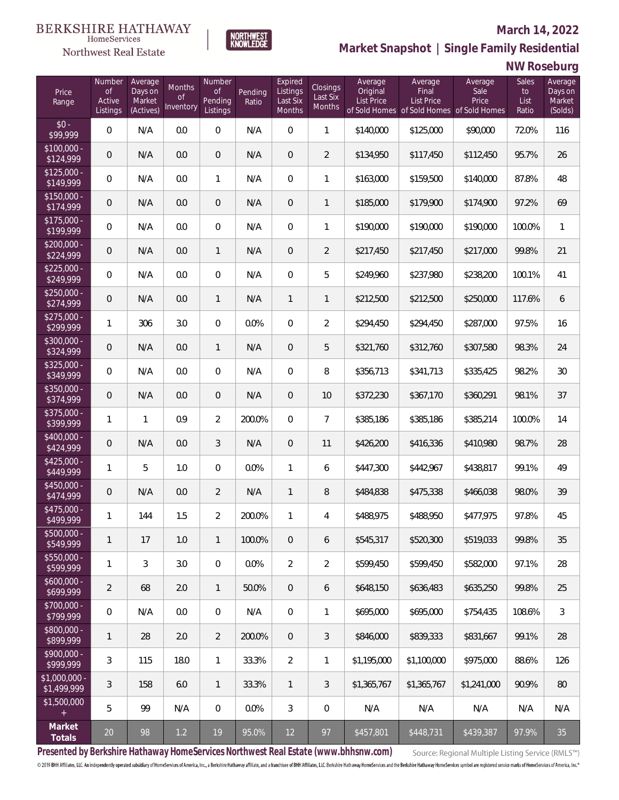

#### **March 14, 2022**

**Market Snapshot | Single Family Residential**

### **NW Roseburg**

| Price<br>Range                                  | Number<br><b>of</b><br>Active<br>Listings | Average<br>Days on<br>Market<br>(Actives) | <b>Months</b><br><b>of</b><br>Inventory | Number<br>$\mathsf{of}$<br>Pending<br>Listings | Pending<br>Ratio | Expired<br>Listings<br>Last Six<br>Months | Closings<br>Last Six<br>Months | Average<br>Original<br>List Price | Average<br>Final<br>List Price<br>of Sold Homes of Sold Homes of Sold Homes | Average<br>Sale<br>Price | Sales<br>to<br>List<br>Ratio | Average<br>Days on<br>Market<br>(Solds) |
|-------------------------------------------------|-------------------------------------------|-------------------------------------------|-----------------------------------------|------------------------------------------------|------------------|-------------------------------------------|--------------------------------|-----------------------------------|-----------------------------------------------------------------------------|--------------------------|------------------------------|-----------------------------------------|
| $$0 -$<br>\$99,999                              | 0                                         | N/A                                       | 0.0                                     | $\overline{0}$                                 | N/A              | 0                                         | 1                              | \$140,000                         | \$125,000                                                                   | \$90,000                 | 72.0%                        | 116                                     |
| $$100,000 -$<br>\$124,999                       | 0                                         | N/A                                       | 0.0                                     | $\overline{0}$                                 | N/A              | 0                                         | $\overline{2}$                 | \$134,950                         | \$117,450                                                                   | \$112,450                | 95.7%                        | 26                                      |
| $$125,000 -$<br>\$149,999                       | 0                                         | N/A                                       | 0.0                                     | 1                                              | N/A              | 0                                         | 1                              | \$163,000                         | \$159,500                                                                   | \$140,000                | 87.8%                        | 48                                      |
| $$150,000 -$<br>\$174,999                       | 0                                         | N/A                                       | 0.0                                     | $\overline{0}$                                 | N/A              | 0                                         | $\mathbf{1}$                   | \$185,000                         | \$179,900                                                                   | \$174,900                | 97.2%                        | 69                                      |
| $$175,000 -$<br>\$199,999                       | 0                                         | N/A                                       | 0.0                                     | $\overline{0}$                                 | N/A              | 0                                         | 1                              | \$190,000                         | \$190,000                                                                   | \$190,000                | 100.0%                       | $\mathbf{1}$                            |
| $$200,000 -$<br>\$224,999                       | 0                                         | N/A                                       | 0.0                                     | $\mathbf{1}$                                   | N/A              | $\overline{0}$                            | $\overline{2}$                 | \$217,450                         | \$217,450                                                                   | \$217,000                | 99.8%                        | 21                                      |
| $$225,000 -$<br>\$249,999                       | 0                                         | N/A                                       | 0.0                                     | $\overline{0}$                                 | N/A              | 0                                         | 5                              | \$249,960                         | \$237,980                                                                   | \$238,200                | 100.1%                       | 41                                      |
| $$250,000 -$<br>\$274,999                       | $\mathbf 0$                               | N/A                                       | 0.0                                     | $\mathbf{1}$                                   | N/A              | 1                                         | 1                              | \$212,500                         | \$212,500                                                                   | \$250,000                | 117.6%                       | 6                                       |
| $$275,000 -$<br>\$299,999                       | $\mathbf{1}$                              | 306                                       | 3.0                                     | $\overline{0}$                                 | 0.0%             | 0                                         | 2                              | \$294,450                         | \$294,450                                                                   | \$287,000                | 97.5%                        | 16                                      |
| $$300,000 -$<br>\$324,999                       | 0                                         | N/A                                       | 0.0                                     | $\mathbf{1}$                                   | N/A              | 0                                         | 5                              | \$321,760                         | \$312,760                                                                   | \$307,580                | 98.3%                        | 24                                      |
| $$325,000 -$<br>\$349,999                       | 0                                         | N/A                                       | 0.0                                     | $\overline{0}$                                 | N/A              | 0                                         | 8                              | \$356,713                         | \$341,713                                                                   | \$335,425                | 98.2%                        | 30                                      |
| $$350,000 -$<br>\$374,999                       | 0                                         | N/A                                       | 0.0                                     | $\overline{0}$                                 | N/A              | 0                                         | 10                             | \$372,230                         | \$367,170                                                                   | \$360,291                | 98.1%                        | 37                                      |
| $$375,000 -$<br>\$399,999                       | $\mathbf{1}$                              | $\mathbf{1}$                              | 0.9                                     | $\overline{2}$                                 | 200.0%           | 0                                         | 7                              | \$385,186                         | \$385,186                                                                   | \$385,214                | 100.0%                       | 14                                      |
| $$400,000 -$<br>\$424,999                       | 0                                         | N/A                                       | 0.0                                     | 3                                              | N/A              | 0                                         | 11                             | \$426,200                         | \$416,336                                                                   | \$410,980                | 98.7%                        | 28                                      |
| $$425,000 -$<br>\$449,999                       | $\mathbf{1}$                              | 5                                         | 1.0                                     | $\overline{0}$                                 | 0.0%             | 1                                         | 6                              | \$447,300                         | \$442,967                                                                   | \$438,817                | 99.1%                        | 49                                      |
| $$450,000 -$<br>\$474,999                       | 0                                         | N/A                                       | 0.0                                     | $\overline{2}$                                 | N/A              | $\mathbf{1}$                              | 8                              | \$484,838                         | \$475,338                                                                   | \$466,038                | 98.0%                        | 39                                      |
| $$475,000 -$<br>\$499,999                       | $\mathbf{1}$                              | 144                                       | 1.5                                     | $\overline{2}$                                 | 200.0%           | 1                                         | 4                              | \$488,975                         | \$488,950                                                                   | \$477,975                | 97.8%                        | 45                                      |
| \$500,000 -<br>\$549,999                        | $\mathbf{1}$                              | 17                                        | 1.0                                     | $\mathbf{1}$                                   | 100.0%           | 0                                         | 6                              | \$545,317                         | \$520,300                                                                   | \$519,033                | 99.8%                        | 35                                      |
| $$550,000 -$<br>\$599,999                       | $\mathbf{1}$                              | 3                                         | 3.0                                     | $\boldsymbol{0}$                               | 0.0%             | $\overline{2}$                            | $\overline{2}$                 | \$599,450                         | \$599,450                                                                   | \$582,000                | 97.1%                        | 28                                      |
| $$600,000 -$<br>\$699,999                       | $\overline{2}$                            | 68                                        | 2.0                                     | $\mathbf{1}$                                   | 50.0%            | 0                                         | 6                              | \$648,150                         | \$636,483                                                                   | \$635,250                | 99.8%                        | 25                                      |
| \$700,000 -<br>\$799,999                        | $\mathbf 0$                               | N/A                                       | 0.0                                     | $\overline{0}$                                 | N/A              | 0                                         | 1                              | \$695,000                         | \$695,000                                                                   | \$754,435                | 108.6%                       | 3                                       |
| \$800,000 -<br>\$899,999                        | $\mathbf{1}$                              | 28                                        | 2.0                                     | $\overline{2}$                                 | 200.0%           | 0                                         | 3                              | \$846,000                         | \$839,333                                                                   | \$831,667                | 99.1%                        | 28                                      |
| $$900,000 -$<br>\$999,999                       | 3                                         | 115                                       | 18.0                                    | $\mathbf{1}$                                   | 33.3%            | $\overline{2}$                            | 1                              | \$1,195,000                       | \$1,100,000                                                                 | \$975,000                | 88.6%                        | 126                                     |
| \$1,000,000 -<br>\$1,499,999                    | 3                                         | 158                                       | 6.0                                     | $\mathbf{1}$                                   | 33.3%            | $\mathbf{1}$                              | 3                              | \$1,365,767                       | \$1,365,767                                                                 | \$1,241,000              | 90.9%                        | 80                                      |
| \$1,500,000<br>$\begin{array}{c} + \end{array}$ | 5                                         | 99                                        | N/A                                     | $\boldsymbol{0}$                               | 0.0%             | 3                                         | $\,0\,$                        | N/A                               | N/A                                                                         | N/A                      | N/A                          | N/A                                     |
| Market<br>Totals                                | $20\,$                                    | 98                                        | 1.2                                     | 19                                             | 95.0%            | $12 \overline{)}$                         | 97                             | \$457,801                         | \$448,731                                                                   | \$439,387                | 97.9%                        | 35                                      |

NORTHWEST<br>KNOWLFDGF

**Presented by Berkshire Hathaway HomeServices Northwest Real Estate (www.bhhsnw.com)**

Source: Regional Multiple Listing Service (RMLS™)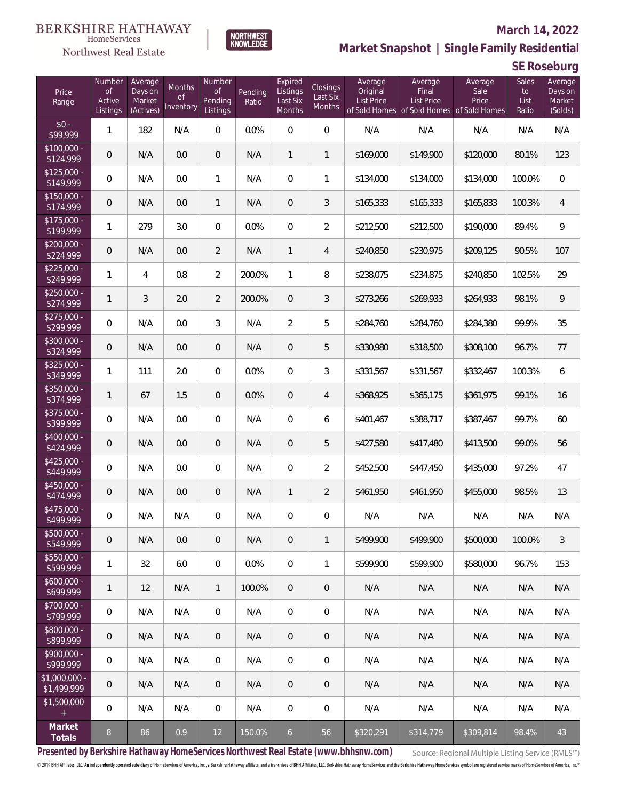### Northwest Real Estate

#### **March 14, 2022**



### **Market Snapshot | Single Family Residential**

### **SE Roseburg**

| Price<br>Range                | Number<br><b>of</b><br>Active<br>Listings | Average<br>Days on<br>Market<br>(Actives) | Months<br><b>of</b><br>Inventory | Number<br><b>of</b><br>Pending<br>Listings | Pending<br>Ratio | Expired<br>Listings<br>Last Six<br>Months | Closings<br>Last Six<br>Months | Average<br>Original<br>List Price | Average<br>Final<br><b>List Price</b><br>of Sold Homes of Sold Homes of Sold Homes | Average<br>Sale<br>Price | Sales<br>to<br>List<br>Ratio | Average<br>Days on<br>Market<br>(Solds) |
|-------------------------------|-------------------------------------------|-------------------------------------------|----------------------------------|--------------------------------------------|------------------|-------------------------------------------|--------------------------------|-----------------------------------|------------------------------------------------------------------------------------|--------------------------|------------------------------|-----------------------------------------|
| $$0 -$<br>\$99,999            | $\mathbf{1}$                              | 182                                       | N/A                              | $\overline{0}$                             | 0.0%             | $\overline{0}$                            | 0                              | N/A                               | N/A                                                                                | N/A                      | N/A                          | N/A                                     |
| $$100,000 -$<br>\$124,999     | 0                                         | N/A                                       | 0.0                              | $\overline{0}$                             | N/A              | $\mathbf{1}$                              | $\mathbf{1}$                   | \$169,000                         | \$149,900                                                                          | \$120,000                | 80.1%                        | 123                                     |
| $$125,000 -$<br>\$149,999     | 0                                         | N/A                                       | 0.0                              | $\mathbf{1}$                               | N/A              | $\overline{0}$                            | $\mathbf{1}$                   | \$134,000                         | \$134,000                                                                          | \$134,000                | 100.0%                       | $\overline{0}$                          |
| $$150,000 -$<br>\$174,999     | 0                                         | N/A                                       | 0.0                              | $\mathbf{1}$                               | N/A              | $\overline{0}$                            | 3                              | \$165,333                         | \$165,333                                                                          | \$165,833                | 100.3%                       | $\overline{4}$                          |
| $$175,000 -$<br>\$199,999     | $\mathbf{1}$                              | 279                                       | 3.0                              | $\overline{0}$                             | 0.0%             | $\overline{0}$                            | $\overline{2}$                 | \$212,500                         | \$212,500                                                                          | \$190,000                | 89.4%                        | 9                                       |
| $$200,000 -$<br>\$224,999     | 0                                         | N/A                                       | 0.0                              | $\overline{2}$                             | N/A              | $\mathbf{1}$                              | $\overline{4}$                 | \$240,850                         | \$230,975                                                                          | \$209,125                | 90.5%                        | 107                                     |
| $$225,000 -$<br>\$249,999     | $\mathbf{1}$                              | $\overline{4}$                            | 0.8                              | $\overline{2}$                             | 200.0%           | $\mathbf{1}$                              | 8                              | \$238,075                         | \$234,875                                                                          | \$240,850                | 102.5%                       | 29                                      |
| $$250,000 -$<br>\$274,999     | $\mathbf{1}$                              | 3                                         | 2.0                              | $\overline{2}$                             | 200.0%           | $\overline{0}$                            | 3                              | \$273,266                         | \$269,933                                                                          | \$264,933                | 98.1%                        | $\mathcal{Q}$                           |
| $$275,000 -$<br>\$299,999     | 0                                         | N/A                                       | 0.0                              | 3                                          | N/A              | $\overline{2}$                            | 5                              | \$284,760                         | \$284,760                                                                          | \$284,380                | 99.9%                        | 35                                      |
| $$300,000 -$<br>\$324,999     | 0                                         | N/A                                       | 0.0                              | $\overline{0}$                             | N/A              | $\overline{0}$                            | 5                              | \$330,980                         | \$318,500                                                                          | \$308,100                | 96.7%                        | 77                                      |
| $$325,000 -$<br>\$349,999     | $\mathbf{1}$                              | 111                                       | 2.0                              | $\overline{0}$                             | 0.0%             | $\overline{0}$                            | 3                              | \$331,567                         | \$331,567                                                                          | \$332,467                | 100.3%                       | 6                                       |
| $$350,000 -$<br>\$374,999     | $\mathbf{1}$                              | 67                                        | 1.5                              | $\overline{0}$                             | 0.0%             | $\overline{0}$                            | $\overline{4}$                 | \$368,925                         | \$365,175                                                                          | \$361,975                | 99.1%                        | 16                                      |
| $$375,000 -$<br>\$399,999     | 0                                         | N/A                                       | 0.0                              | $\overline{0}$                             | N/A              | $\mathbf 0$                               | 6                              | \$401,467                         | \$388,717                                                                          | \$387,467                | 99.7%                        | 60                                      |
| $$400,000 -$<br>\$424,999     | 0                                         | N/A                                       | 0.0                              | 0                                          | N/A              | $\overline{0}$                            | 5                              | \$427,580                         | \$417,480                                                                          | \$413,500                | 99.0%                        | 56                                      |
| $$425,000 -$<br>\$449,999     | 0                                         | N/A                                       | 0.0                              | $\overline{0}$                             | N/A              | $\mathbf 0$                               | $\overline{2}$                 | \$452,500                         | \$447,450                                                                          | \$435,000                | 97.2%                        | 47                                      |
| $$450,000 -$<br>\$474,999     | 0                                         | N/A                                       | 0.0                              | 0                                          | N/A              | $\mathbf{1}$                              | $\overline{2}$                 | \$461,950                         | \$461,950                                                                          | \$455,000                | 98.5%                        | 13                                      |
| $$475,000 -$<br>\$499,999     | 0                                         | N/A                                       | N/A                              | $\mathbf 0$                                | N/A              | $\mathbf 0$                               | 0                              | N/A                               | N/A                                                                                | N/A                      | N/A                          | N/A                                     |
| \$500,000 -<br>\$549,999      | 0                                         | N/A                                       | 0.0                              | 0                                          | N/A              | $\mathsf{O}\xspace$                       | $\mathbf{1}$                   | \$499,900                         | \$499,900                                                                          | \$500,000                | 100.0%                       | 3                                       |
| $$550,000 -$<br>\$599,999     | $\mathbf{1}$                              | 32                                        | 6.0                              | 0                                          | 0.0%             | $\boldsymbol{0}$                          | $\mathbf{1}$                   | \$599,900                         | \$599,900                                                                          | \$580,000                | 96.7%                        | 153                                     |
| $$600,000 -$<br>\$699,999     | $\mathbf{1}$                              | 12                                        | N/A                              | $\mathbf{1}$                               | 100.0%           | $\mathbf 0$                               | 0                              | N/A                               | N/A                                                                                | N/A                      | N/A                          | N/A                                     |
| $$700,000 -$<br>\$799,999     | 0                                         | N/A                                       | N/A                              | 0                                          | N/A              | $\boldsymbol{0}$                          | $\mathbf 0$                    | N/A                               | N/A                                                                                | N/A                      | N/A                          | N/A                                     |
| \$800,000 -<br>\$899,999      | 0                                         | N/A                                       | N/A                              | $\mathbf 0$                                | N/A              | $\boldsymbol{0}$                          | $\mathbf 0$                    | N/A                               | N/A                                                                                | N/A                      | N/A                          | N/A                                     |
| \$900,000 -<br>\$999,999      | 0                                         | N/A                                       | N/A                              | 0                                          | N/A              | $\boldsymbol{0}$                          | $\mathbf 0$                    | N/A                               | N/A                                                                                | N/A                      | N/A                          | N/A                                     |
| $$1,000,000$ -<br>\$1,499,999 | 0                                         | N/A                                       | N/A                              | $\mathbf 0$                                | N/A              | $\mathbf 0$                               | 0                              | N/A                               | N/A                                                                                | N/A                      | N/A                          | N/A                                     |
| \$1,500,000<br>$\pm$          | 0                                         | N/A                                       | N/A                              | 0                                          | N/A              | 0                                         | 0                              | N/A                               | N/A                                                                                | N/A                      | N/A                          | N/A                                     |
| Market<br>Totals              | $8\,$                                     | 86                                        | $0.9\,$                          | $12 \overline{ }$                          | 150.0%           | $\mathfrak{b}$                            | 56                             | \$320,291                         | \$314,779                                                                          | \$309,814                | 98.4%                        | 43                                      |

**Presented by Berkshire Hathaway HomeServices Northwest Real Estate (www.bhhsnw.com)**

Source: Regional Multiple Listing Service (RMLS™)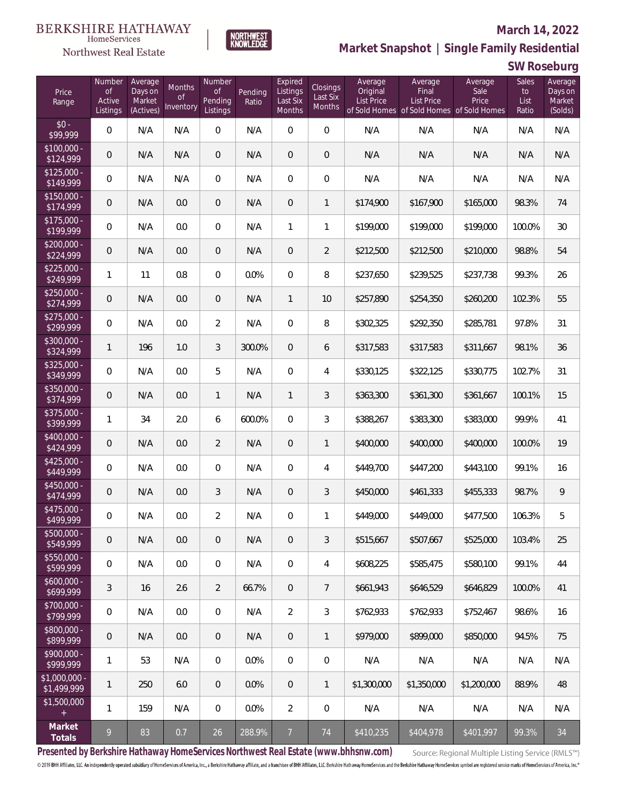### Northwest Real Estate

#### **March 14, 2022**



| Price<br>Range                   | Number<br><b>of</b><br>Active<br>Listings | Average<br>Days on<br>Market<br>(Actives) | Months<br><b>of</b><br>Inventory | Number<br><b>of</b><br>Pending<br>Listings | Pending<br>Ratio | Expired<br>Listings<br>Last Six<br>Months | Closings<br>Last Six<br>Months | Average<br>Original<br><b>List Price</b> | Average<br>Final<br><b>List Price</b> | Average<br>Sale<br>Price<br>of Sold Homes of Sold Homes of Sold Homes | Sales<br>to<br>List<br>Ratio | Average<br>Days on<br>Market<br>(Solds) |
|----------------------------------|-------------------------------------------|-------------------------------------------|----------------------------------|--------------------------------------------|------------------|-------------------------------------------|--------------------------------|------------------------------------------|---------------------------------------|-----------------------------------------------------------------------|------------------------------|-----------------------------------------|
| $$0 -$<br>\$99,999               | $\overline{0}$                            | N/A                                       | N/A                              | 0                                          | N/A              | $\overline{0}$                            | $\overline{0}$                 | N/A                                      | N/A                                   | N/A                                                                   | N/A                          | N/A                                     |
| $$100,000 -$<br>\$124,999        | $\mathbf 0$                               | N/A                                       | N/A                              | $\overline{0}$                             | N/A              | $\overline{0}$                            | $\overline{0}$                 | N/A                                      | N/A                                   | N/A                                                                   | N/A                          | N/A                                     |
| $$125,000 -$<br>\$149,999        | 0                                         | N/A                                       | N/A                              | $\overline{0}$                             | N/A              | $\overline{0}$                            | $\mathsf{O}\xspace$            | N/A                                      | N/A                                   | N/A                                                                   | N/A                          | N/A                                     |
| $$150,000 -$<br>\$174,999        | $\mathbf 0$                               | N/A                                       | 0.0                              | $\overline{0}$                             | N/A              | $\overline{0}$                            | 1                              | \$174,900                                | \$167,900                             | \$165,000                                                             | 98.3%                        | 74                                      |
| $$175,000 -$<br>\$199,999        | 0                                         | N/A                                       | 0.0                              | $\overline{0}$                             | N/A              | 1                                         | 1                              | \$199,000                                | \$199,000                             | \$199,000                                                             | 100.0%                       | 30                                      |
| $$200,000 -$<br>\$224,999        | $\mathbf 0$                               | N/A                                       | 0.0                              | $\overline{0}$                             | N/A              | $\overline{0}$                            | $\overline{2}$                 | \$212,500                                | \$212,500                             | \$210,000                                                             | 98.8%                        | 54                                      |
| $$225,000 -$<br>\$249,999        | $\mathbf{1}$                              | 11                                        | 0.8                              | $\overline{0}$                             | 0.0%             | $\Omega$                                  | 8                              | \$237,650                                | \$239,525                             | \$237,738                                                             | 99.3%                        | 26                                      |
| $$250,000 -$<br>\$274,999        | $\mathbf 0$                               | N/A                                       | 0.0                              | 0                                          | N/A              | $\mathbf{1}$                              | 10                             | \$257,890                                | \$254,350                             | \$260,200                                                             | 102.3%                       | 55                                      |
| $$275,000 -$<br>\$299,999        | 0                                         | N/A                                       | 0.0                              | $\overline{2}$                             | N/A              | $\overline{0}$                            | 8                              | \$302,325                                | \$292,350                             | \$285,781                                                             | 97.8%                        | 31                                      |
| $$300,000 -$<br>\$324,999        | $\mathbf{1}$                              | 196                                       | 1.0                              | 3                                          | 300.0%           | $\overline{0}$                            | 6                              | \$317,583                                | \$317,583                             | \$311,667                                                             | 98.1%                        | 36                                      |
| $$325,000 -$<br>\$349,999        | 0                                         | N/A                                       | 0.0                              | 5                                          | N/A              | $\overline{0}$                            | 4                              | \$330,125                                | \$322,125                             | \$330,775                                                             | 102.7%                       | 31                                      |
| $$350,000 -$<br>\$374,999        | $\mathbf 0$                               | N/A                                       | 0.0                              | $\mathbf{1}$                               | N/A              | $\mathbf{1}$                              | 3                              | \$363,300                                | \$361,300                             | \$361,667                                                             | 100.1%                       | 15                                      |
| $$375,000 -$<br>\$399,999        | 1                                         | 34                                        | 2.0                              | 6                                          | 600.0%           | $\Omega$                                  | 3                              | \$388,267                                | \$383,300                             | \$383,000                                                             | 99.9%                        | 41                                      |
| $$400,000 -$<br>\$424,999        | $\boldsymbol{0}$                          | N/A                                       | 0.0                              | $\overline{2}$                             | N/A              | $\overline{0}$                            | 1                              | \$400,000                                | \$400,000                             | \$400,000                                                             | 100.0%                       | 19                                      |
| $\sqrt{$425,000}$ -<br>\$449,999 | 0                                         | N/A                                       | 0.0                              | $\Omega$                                   | N/A              | $\Omega$                                  | 4                              | \$449,700                                | \$447,200                             | \$443,100                                                             | 99.1%                        | 16                                      |
| $$450,000 -$<br>\$474,999        | $\mathbf 0$                               | N/A                                       | 0.0                              | 3                                          | N/A              | $\overline{0}$                            | 3                              | \$450,000                                | \$461,333                             | \$455,333                                                             | 98.7%                        | 9                                       |
| $$475,000 -$<br>\$499,999        | 0                                         | N/A                                       | 0.0                              | $\overline{2}$                             | N/A              | $\overline{0}$                            | 1                              | \$449,000                                | \$449,000                             | \$477,500                                                             | 106.3%                       | 5                                       |
| $$500,000 -$<br>\$549,999        | 0                                         | N/A                                       | 0.0                              | 0                                          | N/A              | $\overline{0}$                            | 3                              | \$515,667                                | \$507,667                             | \$525,000                                                             | 103.4%                       | 25                                      |
| $$550,000 -$<br>\$599,999        | 0                                         | N/A                                       | 0.0                              | 0                                          | N/A              | $\mathbf 0$                               | 4                              | \$608,225                                | \$585,475                             | \$580,100                                                             | 99.1%                        | 44                                      |
| $$600,000 -$<br>\$699,999        | 3                                         | 16                                        | 2.6                              | $\overline{2}$                             | 66.7%            | $\overline{0}$                            | 7                              | \$661,943                                | \$646,529                             | \$646,829                                                             | 100.0%                       | 41                                      |
| \$700,000 -<br>\$799,999         | 0                                         | N/A                                       | 0.0                              | 0                                          | N/A              | $\overline{2}$                            | 3                              | \$762,933                                | \$762,933                             | \$752,467                                                             | 98.6%                        | 16                                      |
| \$800,000 -<br>\$899,999         | 0                                         | N/A                                       | 0.0                              | $\overline{0}$                             | N/A              | $\overline{0}$                            | 1                              | \$979,000                                | \$899,000                             | \$850,000                                                             | 94.5%                        | 75                                      |
| $$900,000 -$<br>\$999,999        | 1                                         | 53                                        | N/A                              | 0                                          | 0.0%             | $\mathbf 0$                               | $\mathbf 0$                    | N/A                                      | N/A                                   | N/A                                                                   | N/A                          | N/A                                     |
| $$1,000,000 -$<br>\$1,499,999    | 1                                         | 250                                       | $6.0\,$                          | $\overline{0}$                             | 0.0%             | $\overline{0}$                            | $\mathbf{1}$                   | \$1,300,000                              | \$1,350,000                           | \$1,200,000                                                           | 88.9%                        | 48                                      |
| \$1,500,000<br>$^+$              | 1                                         | 159                                       | N/A                              | 0                                          | 0.0%             | $\overline{2}$                            | $\boldsymbol{0}$               | N/A                                      | N/A                                   | N/A                                                                   | N/A                          | N/A                                     |
| Market<br>Totals                 | 9                                         | 83                                        | $0.7\,$                          | 26                                         | 288.9%           | $\overline{7}$                            | 74                             | \$410,235                                | \$404,978                             | \$401,997                                                             | 99.3%                        | 34                                      |

NORTHWEST<br>KNOWLFDGF

**Presented by Berkshire Hathaway HomeServices Northwest Real Estate (www.bhhsnw.com)**

Source: Regional Multiple Listing Service (RMLS™)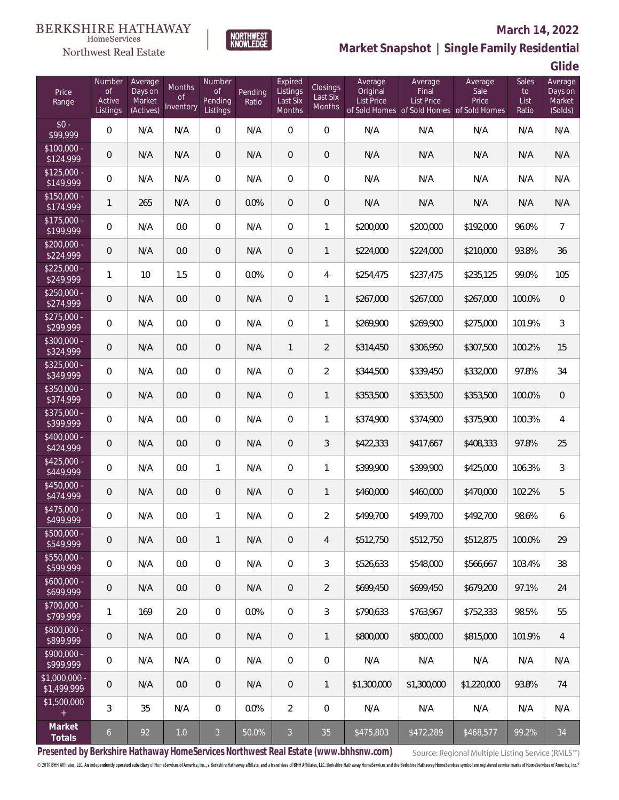

### **March 14, 2022**



**Glide**

| Price<br>Range               | Number<br><b>of</b><br>Active<br>Listings | Average<br>Days on<br>Market<br>(Actives) | <b>Months</b><br><b>of</b><br>Inventory | Number<br>Οf<br>Pending<br>Listings | Pending<br>Ratio | Expired<br>Listings<br>Last Six<br><b>Months</b> | Closings<br>Last Six<br><b>Months</b> | Average<br>Original<br><b>List Price</b> | Average<br>Final<br><b>List Price</b><br>of Sold Homes of Sold Homes of Sold Homes | Average<br>Sale<br>Price | Sales<br>to<br>List<br>Ratio | Average<br>Days on<br>Market<br>(Solds) |
|------------------------------|-------------------------------------------|-------------------------------------------|-----------------------------------------|-------------------------------------|------------------|--------------------------------------------------|---------------------------------------|------------------------------------------|------------------------------------------------------------------------------------|--------------------------|------------------------------|-----------------------------------------|
| $$0 -$<br>\$99,999           | 0                                         | N/A                                       | N/A                                     | $\overline{0}$                      | N/A              | $\overline{0}$                                   | $\overline{0}$                        | N/A                                      | N/A                                                                                | N/A                      | N/A                          | N/A                                     |
| $$100.000 -$<br>\$124,999    | 0                                         | N/A                                       | N/A                                     | $\overline{0}$                      | N/A              | $\overline{0}$                                   | $\mathbf 0$                           | N/A                                      | N/A                                                                                | N/A                      | N/A                          | N/A                                     |
| $$125.000 -$<br>\$149,999    | 0                                         | N/A                                       | N/A                                     | $\mathbf{0}$                        | N/A              | $\overline{0}$                                   | 0                                     | N/A                                      | N/A                                                                                | N/A                      | N/A                          | N/A                                     |
| $$150.000 -$<br>\$174,999    | 1                                         | 265                                       | N/A                                     | $\overline{0}$                      | 0.0%             | $\overline{0}$                                   | $\mathbf 0$                           | N/A                                      | N/A                                                                                | N/A                      | N/A                          | N/A                                     |
| $$175,000 -$<br>\$199,999    | 0                                         | N/A                                       | 0.0                                     | $\overline{0}$                      | N/A              | $\overline{0}$                                   | 1                                     | \$200,000                                | \$200,000                                                                          | \$192,000                | 96.0%                        | $\overline{7}$                          |
| $$200,000 -$<br>\$224,999    | 0                                         | N/A                                       | 0.0                                     | $\overline{0}$                      | N/A              | $\overline{0}$                                   | 1                                     | \$224,000                                | \$224,000                                                                          | \$210,000                | 93.8%                        | 36                                      |
| $$225,000 -$<br>\$249,999    | 1                                         | 10                                        | 1.5                                     | $\overline{0}$                      | 0.0%             | $\overline{0}$                                   | $\overline{4}$                        | \$254,475                                | \$237,475                                                                          | \$235,125                | 99.0%                        | 105                                     |
| $$250,000 -$<br>\$274,999    | 0                                         | N/A                                       | 0.0                                     | $\overline{0}$                      | N/A              | $\overline{0}$                                   | 1                                     | \$267,000                                | \$267,000                                                                          | \$267,000                | 100.0%                       | $\overline{0}$                          |
| $$275,000 -$<br>\$299,999    | 0                                         | N/A                                       | 0.0                                     | $\overline{0}$                      | N/A              | $\overline{0}$                                   | 1                                     | \$269,900                                | \$269,900                                                                          | \$275,000                | 101.9%                       | 3                                       |
| $$300,000 -$<br>\$324,999    | 0                                         | N/A                                       | 0.0                                     | $\overline{0}$                      | N/A              | 1                                                | $\overline{2}$                        | \$314,450                                | \$306,950                                                                          | \$307,500                | 100.2%                       | 15                                      |
| \$325,000 -<br>\$349,999     | 0                                         | N/A                                       | 0.0                                     | $\overline{0}$                      | N/A              | $\overline{0}$                                   | $\overline{2}$                        | \$344,500                                | \$339,450                                                                          | \$332,000                | 97.8%                        | 34                                      |
| \$350,000 -<br>\$374,999     | 0                                         | N/A                                       | 0.0                                     | $\overline{0}$                      | N/A              | $\overline{0}$                                   | $\mathbf{1}$                          | \$353,500                                | \$353,500                                                                          | \$353,500                | 100.0%                       | $\boldsymbol{0}$                        |
| $$375,000 -$<br>\$399,999    | 0                                         | N/A                                       | 0.0                                     | $\overline{0}$                      | N/A              | $\overline{0}$                                   | 1                                     | \$374,900                                | \$374,900                                                                          | \$375,900                | 100.3%                       | $\overline{4}$                          |
| $$400,000 -$<br>\$424,999    | 0                                         | N/A                                       | 0.0                                     | $\overline{0}$                      | N/A              | $\overline{0}$                                   | 3                                     | \$422,333                                | \$417,667                                                                          | \$408,333                | 97.8%                        | 25                                      |
| $$425,000 -$<br>\$449,999    | 0                                         | N/A                                       | 0.0                                     | $\mathbf{1}$                        | N/A              | $\overline{0}$                                   | $\mathbf{1}$                          | \$399,900                                | \$399,900                                                                          | \$425,000                | 106.3%                       | 3                                       |
| $$450,000 -$<br>\$474,999    | 0                                         | N/A                                       | 0.0                                     | $\overline{0}$                      | N/A              | $\overline{0}$                                   | 1                                     | \$460,000                                | \$460,000                                                                          | \$470,000                | 102.2%                       | 5                                       |
| \$475,000 -<br>\$499,999     | 0                                         | N/A                                       | 0.0                                     | $\mathbf{1}$                        | N/A              | 0                                                | 2                                     | \$499,700                                | \$499,700                                                                          | \$492,700                | 98.6%                        | 6                                       |
| $$500,000 -$<br>\$549,999    | 0                                         | N/A                                       | 0.0                                     | $\mathbf{1}$                        | N/A              | $\mathbf 0$                                      | 4                                     | \$512,750                                | \$512,750                                                                          | \$512,875                | 100.0%                       | 29                                      |
| $$550,000 -$<br>\$599,999    | 0                                         | N/A                                       | 0.0                                     | 0                                   | N/A              | 0                                                | 3                                     | \$526,633                                | \$548,000                                                                          | \$566,667                | 103.4%                       | 38                                      |
| $$600,000 -$<br>\$699,999    | 0                                         | N/A                                       | 0.0                                     | $\overline{0}$                      | N/A              | $\mathbf 0$                                      | $\overline{2}$                        | \$699,450                                | \$699,450                                                                          | \$679,200                | 97.1%                        | 24                                      |
| $$700,000 -$<br>\$799,999    | 1                                         | 169                                       | 2.0                                     | $\overline{0}$                      | 0.0%             | 0                                                | 3                                     | \$790,633                                | \$763,967                                                                          | \$752,333                | 98.5%                        | 55                                      |
| \$800,000 -<br>\$899,999     | 0                                         | N/A                                       | 0.0                                     | $\overline{0}$                      | N/A              | $\overline{0}$                                   | $\mathbf{1}$                          | \$800,000                                | \$800,000                                                                          | \$815,000                | 101.9%                       | $\overline{4}$                          |
| $$900,000 -$<br>\$999,999    | 0                                         | N/A                                       | N/A                                     | $\overline{0}$                      | N/A              | $\mathbb O$                                      | $\mathbf 0$                           | N/A                                      | N/A                                                                                | N/A                      | N/A                          | N/A                                     |
| \$1,000,000 -<br>\$1,499,999 | 0                                         | N/A                                       | 0.0                                     | $\overline{0}$                      | N/A              | $\overline{0}$                                   | $\mathbf{1}$                          | \$1,300,000                              | \$1,300,000                                                                        | \$1,220,000              | 93.8%                        | 74                                      |
| \$1,500,000<br>$\pm$         | 3                                         | 35                                        | N/A                                     | $\mathbf 0$                         | 0.0%             | $\overline{2}$                                   | 0                                     | N/A                                      | N/A                                                                                | N/A                      | N/A                          | N/A                                     |
| Market<br>Totals             | $\mathbf{6}$                              | 92                                        | $1.0\,$                                 | $\overline{3}$                      | 50.0%            | $\overline{3}$                                   | 35                                    | \$475,803                                | \$472,289                                                                          | \$468,577                | 99.2%                        | 34                                      |

**NORTHWEST**<br>KNOWLEDGE

**Presented by Berkshire Hathaway HomeServices Northwest Real Estate (www.bhhsnw.com)**

Source: Regional Multiple Listing Service (RMLS™)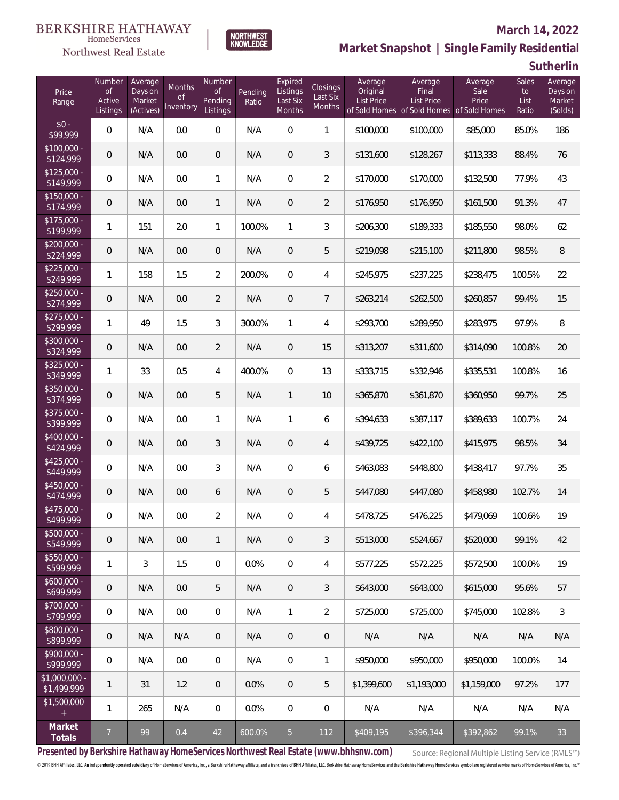

## NORTHWEST<br>KNOWLFDGF

### **March 14, 2022**

**Market Snapshot | Single Family Residential**

**Sutherlin**

| Price<br>Range                | Number<br><b>of</b><br>Active<br>Listings | Average<br>Days on<br>Market<br>(Actives) | Months<br><b>of</b><br>Inventory | Number<br><b>of</b><br>Pending<br>Listings | Pending<br>Ratio | Expired<br>Listings<br>Last Six<br>Months | Closings<br>Last Six<br><b>Months</b> | Average<br>Original<br><b>List Price</b> | Average<br>Final<br><b>List Price</b> | Average<br>Sale<br>Price<br>of Sold Homes of Sold Homes of Sold Homes | Sales<br>to<br>List<br>Ratio | Average<br>Days on<br>Market<br>(Solds) |
|-------------------------------|-------------------------------------------|-------------------------------------------|----------------------------------|--------------------------------------------|------------------|-------------------------------------------|---------------------------------------|------------------------------------------|---------------------------------------|-----------------------------------------------------------------------|------------------------------|-----------------------------------------|
| $$0 -$<br>\$99,999            | $\overline{0}$                            | N/A                                       | 0.0                              | $\overline{0}$                             | N/A              | $\overline{0}$                            | $\mathbf{1}$                          | \$100,000                                | \$100,000                             | \$85,000                                                              | 85.0%                        | 186                                     |
| $$100,000 -$<br>\$124,999     | $\mathbf 0$                               | N/A                                       | 0.0                              | $\overline{0}$                             | N/A              | $\overline{0}$                            | 3                                     | \$131,600                                | \$128,267                             | \$113,333                                                             | 88.4%                        | 76                                      |
| $$125,000 -$<br>\$149,999     | $\overline{0}$                            | N/A                                       | 0.0                              | $\mathbf{1}$                               | N/A              | $\overline{0}$                            | $\overline{2}$                        | \$170,000                                | \$170,000                             | \$132,500                                                             | 77.9%                        | 43                                      |
| $$150,000 -$<br>\$174,999     | $\mathbf 0$                               | N/A                                       | 0.0                              | $\mathbf{1}$                               | N/A              | 0                                         | $\overline{2}$                        | \$176,950                                | \$176,950                             | \$161,500                                                             | 91.3%                        | 47                                      |
| $$175,000 -$<br>\$199,999     | $\mathbf{1}$                              | 151                                       | 2.0                              | $\mathbf{1}$                               | 100.0%           | 1                                         | 3                                     | \$206,300                                | \$189,333                             | \$185,550                                                             | 98.0%                        | 62                                      |
| $$200,000 -$<br>\$224,999     | $\mathbf 0$                               | N/A                                       | 0.0                              | $\overline{0}$                             | N/A              | 0                                         | 5                                     | \$219,098                                | \$215,100                             | \$211,800                                                             | 98.5%                        | $\, 8$                                  |
| $$225,000 -$<br>\$249,999     | 1                                         | 158                                       | 1.5                              | $\overline{2}$                             | 200.0%           | $\mathbf 0$                               | 4                                     | \$245,975                                | \$237,225                             | \$238,475                                                             | 100.5%                       | 22                                      |
| $$250,000 -$<br>\$274,999     | $\overline{0}$                            | N/A                                       | 0.0                              | $\overline{2}$                             | N/A              | $\overline{0}$                            | $7\overline{ }$                       | \$263,214                                | \$262,500                             | \$260,857                                                             | 99.4%                        | 15                                      |
| $$275,000 -$<br>\$299,999     | 1                                         | 49                                        | 1.5                              | 3                                          | 300.0%           | 1                                         | 4                                     | \$293,700                                | \$289,950                             | \$283,975                                                             | 97.9%                        | 8                                       |
| $$300,000 -$<br>\$324,999     | $\overline{0}$                            | N/A                                       | 0.0                              | $\overline{2}$                             | N/A              | $\overline{0}$                            | 15                                    | \$313,207                                | \$311,600                             | \$314,090                                                             | 100.8%                       | 20                                      |
| $$325,000 -$<br>\$349,999     | 1                                         | 33                                        | 0.5                              | $\overline{4}$                             | 400.0%           | $\overline{0}$                            | 13                                    | \$333,715                                | \$332,946                             | \$335,531                                                             | 100.8%                       | 16                                      |
| $$350,000 -$<br>\$374,999     | $\mathbf 0$                               | N/A                                       | 0.0                              | 5                                          | N/A              | 1                                         | 10                                    | \$365,870                                | \$361,870                             | \$360,950                                                             | 99.7%                        | 25                                      |
| $$375,000 -$<br>\$399,999     | $\overline{0}$                            | N/A                                       | 0.0                              | $\mathbf{1}$                               | N/A              | 1                                         | 6                                     | \$394,633                                | \$387,117                             | \$389,633                                                             | 100.7%                       | 24                                      |
| \$400,000 -<br>\$424,999      | $\mathbf 0$                               | N/A                                       | 0.0                              | 3                                          | N/A              | $\overline{0}$                            | 4                                     | \$439,725                                | \$422,100                             | \$415,975                                                             | 98.5%                        | 34                                      |
| $$425,000 -$<br>\$449,999     | $\overline{0}$                            | N/A                                       | 0.0                              | 3                                          | N/A              | $\Omega$                                  | 6                                     | \$463,083                                | \$448,800                             | \$438,417                                                             | 97.7%                        | 35                                      |
| \$450,000 -<br>\$474,999      | $\mathbf 0$                               | N/A                                       | 0.0                              | 6                                          | N/A              | $\overline{0}$                            | 5                                     | \$447,080                                | \$447,080                             | \$458,980                                                             | 102.7%                       | 14                                      |
| $$475,000 -$<br>\$499,999     | $\overline{0}$                            | N/A                                       | 0.0                              | $\overline{2}$                             | N/A              | $\overline{0}$                            | 4                                     | \$478,725                                | \$476,225                             | \$479,069                                                             | 100.6%                       | 19                                      |
| $$500,000 -$<br>\$549,999     | 0                                         | N/A                                       | $0.0\,$                          | 1                                          | N/A              | 0                                         | 3                                     | \$513,000                                | \$524,667                             | \$520,000                                                             | 99.1%                        | 42                                      |
| \$550,000 -<br>\$599,999      | 1                                         | 3                                         | 1.5                              | $\boldsymbol{0}$                           | 0.0%             | $\boldsymbol{0}$                          | 4                                     | \$577,225                                | \$572,225                             | \$572,500                                                             | 100.0%                       | 19                                      |
| $$600,000 -$<br>\$699,999     | 0                                         | N/A                                       | 0.0                              | 5                                          | N/A              | $\mathbf 0$                               | 3                                     | \$643,000                                | \$643,000                             | \$615,000                                                             | 95.6%                        | 57                                      |
| \$700,000 -<br>\$799,999      | 0                                         | N/A                                       | 0.0                              | $\overline{0}$                             | N/A              | $\mathbf{1}$                              | $\overline{2}$                        | \$725,000                                | \$725,000                             | \$745,000                                                             | 102.8%                       | 3                                       |
| \$800,000 -<br>\$899,999      | 0                                         | N/A                                       | N/A                              | $\overline{0}$                             | N/A              | $\overline{0}$                            | 0                                     | N/A                                      | N/A                                   | N/A                                                                   | N/A                          | N/A                                     |
| \$900,000 -<br>\$999,999      | 0                                         | N/A                                       | 0.0                              | $\overline{0}$                             | N/A              | $\mathbf 0$                               | 1                                     | \$950,000                                | \$950,000                             | \$950,000                                                             | 100.0%                       | 14                                      |
| $$1,000,000$ -<br>\$1,499,999 | 1                                         | 31                                        | 1.2                              | $\overline{0}$                             | 0.0%             | $\overline{0}$                            | 5                                     | \$1,399,600                              | \$1,193,000                           | \$1,159,000                                                           | 97.2%                        | 177                                     |
| \$1,500,000<br>$+$            | 1                                         | 265                                       | N/A                              | $\overline{0}$                             | 0.0%             | $\boldsymbol{0}$                          | 0                                     | N/A                                      | N/A                                   | N/A                                                                   | N/A                          | N/A                                     |
| Market<br>Totals              | $\overline{7}$                            | 99                                        | 0.4                              | 42                                         | 600.0%           | 5 <sub>1</sub>                            | 112                                   | \$409,195                                | \$396,344                             | \$392,862                                                             | 99.1%                        | 33                                      |

**Presented by Berkshire Hathaway HomeServices Northwest Real Estate (www.bhhsnw.com)**

Source: Regional Multiple Listing Service (RMLS™)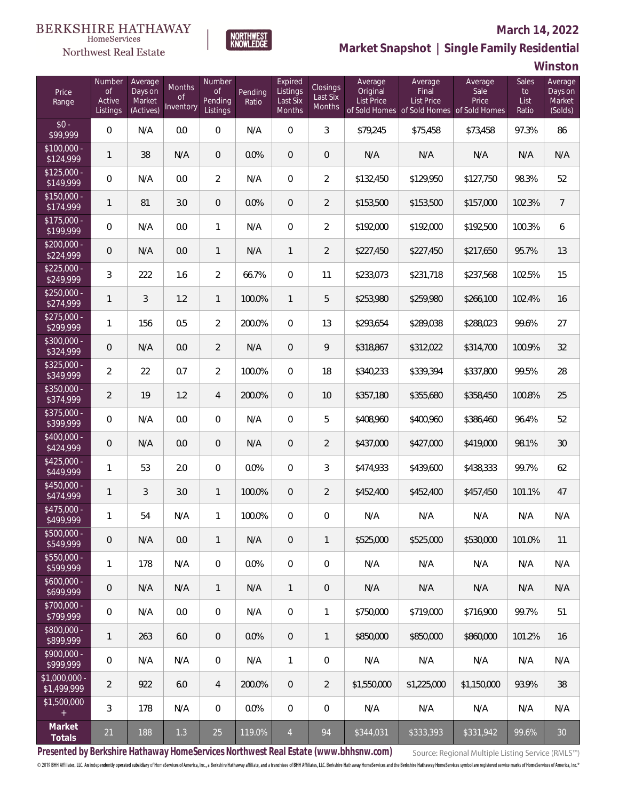

### **March 14, 2022**

**Market Snapshot | Single Family Residential**

**Winston**

| Price<br>Range               | Number<br><b>of</b><br>Active<br>Listings | Average<br>Days on<br>Market<br>(Actives) | <b>Months</b><br><b>of</b><br>Inventory | Number<br>of<br>Pending<br>Listings | Pending<br>Ratio | Expired<br>Listings<br>Last Six<br><b>Months</b> | <b>Closings</b><br>Last Six<br><b>Months</b> | Average<br>Original<br><b>List Price</b> | Average<br>Final<br><b>List Price</b><br>of Sold Homes of Sold Homes of Sold Homes | Average<br>Sale<br>Price | <b>Sales</b><br>to<br>List<br>Ratio | Average<br>Days on<br>Market<br>(Solds) |
|------------------------------|-------------------------------------------|-------------------------------------------|-----------------------------------------|-------------------------------------|------------------|--------------------------------------------------|----------------------------------------------|------------------------------------------|------------------------------------------------------------------------------------|--------------------------|-------------------------------------|-----------------------------------------|
| $$0 -$<br>\$99,999           | 0                                         | N/A                                       | 0.0                                     | $\overline{0}$                      | N/A              | $\overline{0}$                                   | 3                                            | \$79,245                                 | \$75,458                                                                           | \$73,458                 | 97.3%                               | 86                                      |
| $$100.000 -$<br>\$124,999    | 1                                         | 38                                        | N/A                                     | $\overline{0}$                      | 0.0%             | $\overline{0}$                                   | $\mathbf 0$                                  | N/A                                      | N/A                                                                                | N/A                      | N/A                                 | N/A                                     |
| $$125.000 -$<br>\$149,999    | 0                                         | N/A                                       | 0.0                                     | $\overline{2}$                      | N/A              | $\overline{0}$                                   | $\overline{2}$                               | \$132,450                                | \$129,950                                                                          | \$127,750                | 98.3%                               | 52                                      |
| $$150.000 -$<br>\$174,999    | 1                                         | 81                                        | 3.0                                     | $\overline{0}$                      | 0.0%             | $\overline{0}$                                   | $\overline{2}$                               | \$153,500                                | \$153,500                                                                          | \$157,000                | 102.3%                              | $\overline{7}$                          |
| $$175,000 -$<br>\$199,999    | 0                                         | N/A                                       | 0.0                                     | 1                                   | N/A              | $\overline{0}$                                   | $\overline{2}$                               | \$192,000                                | \$192,000                                                                          | \$192,500                | 100.3%                              | 6                                       |
| $$200,000 -$<br>\$224,999    | 0                                         | N/A                                       | 0.0                                     | $\mathbf{1}$                        | N/A              | $\mathbf{1}$                                     | $\overline{2}$                               | \$227,450                                | \$227,450                                                                          | \$217,650                | 95.7%                               | 13                                      |
| $$225,000 -$<br>\$249,999    | 3                                         | 222                                       | 1.6                                     | $\overline{2}$                      | 66.7%            | $\overline{0}$                                   | 11                                           | \$233,073                                | \$231,718                                                                          | \$237,568                | 102.5%                              | 15                                      |
| $$250,000 -$<br>\$274,999    | 1                                         | 3                                         | 1.2                                     | $\mathbf{1}$                        | 100.0%           | $\mathbf{1}$                                     | 5                                            | \$253,980                                | \$259,980                                                                          | \$266,100                | 102.4%                              | 16                                      |
| $$275,000 -$<br>\$299,999    | 1                                         | 156                                       | 0.5                                     | $\overline{2}$                      | 200.0%           | $\overline{0}$                                   | 13                                           | \$293,654                                | \$289,038                                                                          | \$288,023                | 99.6%                               | 27                                      |
| \$300,000 -<br>\$324,999     | 0                                         | N/A                                       | 0.0                                     | $\overline{2}$                      | N/A              | $\overline{0}$                                   | 9                                            | \$318,867                                | \$312,022                                                                          | \$314,700                | 100.9%                              | 32                                      |
| \$325,000 -<br>\$349,999     | 2                                         | 22                                        | 0.7                                     | $\overline{2}$                      | 100.0%           | $\Omega$                                         | 18                                           | \$340,233                                | \$339,394                                                                          | \$337,800                | 99.5%                               | 28                                      |
| \$350,000 -<br>\$374,999     | $\overline{2}$                            | 19                                        | 1.2                                     | 4                                   | 200.0%           | $\overline{0}$                                   | 10                                           | \$357,180                                | \$355,680                                                                          | \$358,450                | 100.8%                              | 25                                      |
| $$375,000 -$<br>\$399,999    | 0                                         | N/A                                       | 0.0                                     | $\mathbf{0}$                        | N/A              | $\overline{0}$                                   | 5                                            | \$408,960                                | \$400,960                                                                          | \$386,460                | 96.4%                               | 52                                      |
| $$400,000 -$<br>\$424,999    | 0                                         | N/A                                       | 0.0                                     | $\overline{0}$                      | N/A              | $\overline{0}$                                   | $\overline{2}$                               | \$437,000                                | \$427,000                                                                          | \$419,000                | 98.1%                               | 30                                      |
| $$425,000 -$<br>\$449,999    | 1                                         | 53                                        | 2.0                                     | $\mathbf{0}$                        | 0.0%             | $\overline{0}$                                   | 3                                            | \$474,933                                | \$439,600                                                                          | \$438,333                | 99.7%                               | 62                                      |
| $$450,000 -$<br>\$474,999    | $\mathbf{1}$                              | 3                                         | 3.0                                     | $\mathbf{1}$                        | 100.0%           | $\overline{0}$                                   | $\overline{2}$                               | \$452,400                                | \$452,400                                                                          | \$457,450                | 101.1%                              | 47                                      |
| \$475,000 -<br>\$499,999     | 1                                         | 54                                        | N/A                                     | 1                                   | 100.0%           | 0                                                | 0                                            | N/A                                      | N/A                                                                                | N/A                      | N/A                                 | N/A                                     |
| $$500,000 -$<br>\$549,999    | 0                                         | N/A                                       | 0.0                                     | $\mathbf{1}$                        | N/A              | $\mathbf 0$                                      | $\mathbf{1}$                                 | \$525,000                                | \$525,000                                                                          | \$530,000                | 101.0%                              | 11                                      |
| $$550,000 -$<br>\$599,999    | 1                                         | 178                                       | N/A                                     | $\overline{0}$                      | 0.0%             | $\mathbb O$                                      | $\overline{0}$                               | N/A                                      | N/A                                                                                | N/A                      | N/A                                 | N/A                                     |
| $$600,000 -$<br>\$699,999    | 0                                         | N/A                                       | N/A                                     | $\mathbf{1}$                        | N/A              | $\mathbf{1}$                                     | 0                                            | N/A                                      | N/A                                                                                | N/A                      | N/A                                 | N/A                                     |
| $$700,000 -$<br>\$799,999    | 0                                         | N/A                                       | 0.0                                     | $\overline{0}$                      | N/A              | 0                                                | 1                                            | \$750,000                                | \$719,000                                                                          | \$716,900                | 99.7%                               | 51                                      |
| \$800,000 -<br>\$899,999     | $\mathbf{1}$                              | 263                                       | 6.0                                     | $\overline{0}$                      | 0.0%             | $\overline{0}$                                   | $\mathbf{1}$                                 | \$850,000                                | \$850,000                                                                          | \$860,000                | 101.2%                              | 16                                      |
| $$900,000 -$<br>\$999,999    | 0                                         | N/A                                       | N/A                                     | $\overline{0}$                      | N/A              | $\mathbf{1}$                                     | 0                                            | N/A                                      | N/A                                                                                | N/A                      | N/A                                 | N/A                                     |
| \$1,000,000 -<br>\$1,499,999 | $\overline{2}$                            | 922                                       | 6.0                                     | 4                                   | 200.0%           | $\overline{0}$                                   | $\overline{2}$                               | \$1,550,000                              | \$1,225,000                                                                        | \$1,150,000              | 93.9%                               | 38                                      |
| \$1,500,000<br>$\pm$         | 3                                         | 178                                       | N/A                                     | $\overline{0}$                      | 0.0%             | $\mathbb O$                                      | 0                                            | N/A                                      | N/A                                                                                | N/A                      | N/A                                 | N/A                                     |
| Market<br>Totals             | 21                                        | 188                                       | $1.3\,$                                 | 25                                  | 119.0%           | $\overline{4}$                                   | 94                                           | \$344,031                                | \$333,393                                                                          | \$331,942                | 99.6%                               | 30                                      |

NORTHWEST<br>KNOWLFDGF

**Presented by Berkshire Hathaway HomeServices Northwest Real Estate (www.bhhsnw.com)**

Source: Regional Multiple Listing Service (RMLS™)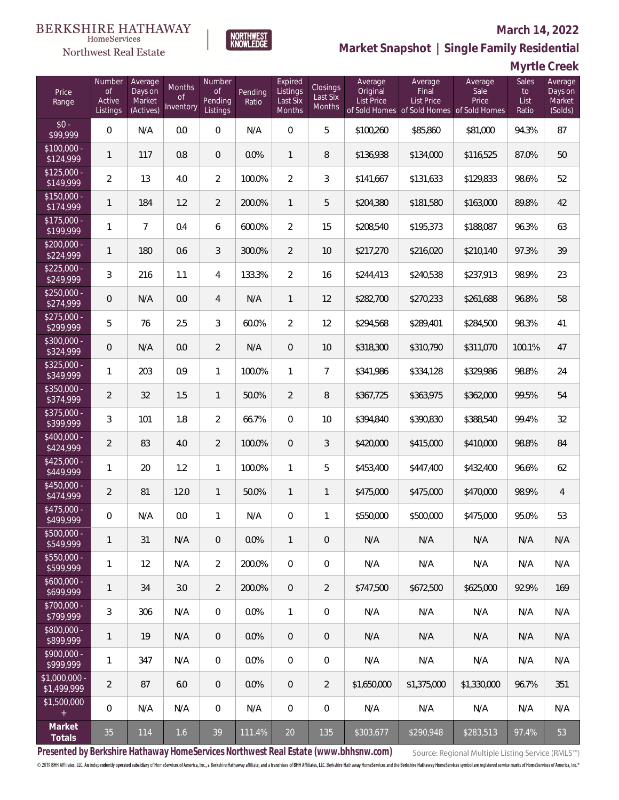

#### **March 14, 2022**

**Market Snapshot | Single Family Residential**

### **Myrtle Creek**

| Price<br>Range               | Number<br><b>of</b><br>Active<br>Listings | Average<br>Days on<br>Market<br>(Actives) | <b>Months</b><br>0f<br>Inventory | Number<br><b>of</b><br>Pending<br>Listings | Pending<br>Ratio | Expired<br>Listings<br>Last Six<br>Months | Closings<br>Last Six<br>Months | Average<br>Original<br><b>List Price</b> | Average<br>Final<br>List Price<br>of Sold Homes of Sold Homes of Sold Homes | Average<br>Sale<br>Price | Sales<br>to<br>List<br>Ratio | Average<br>Days on<br>Market<br>(Solds) |
|------------------------------|-------------------------------------------|-------------------------------------------|----------------------------------|--------------------------------------------|------------------|-------------------------------------------|--------------------------------|------------------------------------------|-----------------------------------------------------------------------------|--------------------------|------------------------------|-----------------------------------------|
| $$0 -$<br>\$99,999           | 0                                         | N/A                                       | 0.0                              | 0                                          | N/A              | $\overline{0}$                            | 5                              | \$100,260                                | \$85,860                                                                    | \$81,000                 | 94.3%                        | 87                                      |
| $$100,000 -$<br>\$124,999    | 1                                         | 117                                       | 0.8                              | $\overline{0}$                             | 0.0%             | $\mathbf{1}$                              | 8                              | \$136,938                                | \$134,000                                                                   | \$116,525                | 87.0%                        | 50                                      |
| $$125,000 -$<br>\$149,999    | $\overline{2}$                            | 13                                        | 4.0                              | $\overline{2}$                             | 100.0%           | $\overline{2}$                            | 3                              | \$141,667                                | \$131,633                                                                   | \$129,833                | 98.6%                        | 52                                      |
| $$150,000 -$<br>\$174,999    | $\mathbf{1}$                              | 184                                       | 1.2                              | $\overline{2}$                             | 200.0%           | $\mathbf{1}$                              | 5                              | \$204,380                                | \$181,580                                                                   | \$163,000                | 89.8%                        | 42                                      |
| $$175,000 -$<br>\$199,999    | $\mathbf{1}$                              | $\overline{7}$                            | 0.4                              | 6                                          | 600.0%           | $\overline{2}$                            | 15                             | \$208,540                                | \$195,373                                                                   | \$188,087                | 96.3%                        | 63                                      |
| $$200,000 -$<br>\$224,999    | $\mathbf{1}$                              | 180                                       | 0.6                              | 3                                          | 300.0%           | $\overline{2}$                            | 10                             | \$217,270                                | \$216,020                                                                   | \$210,140                | 97.3%                        | 39                                      |
| $$225,000 -$<br>\$249,999    | 3                                         | 216                                       | 1.1                              | 4                                          | 133.3%           | $\overline{2}$                            | 16                             | \$244,413                                | \$240,538                                                                   | \$237,913                | 98.9%                        | 23                                      |
| $$250,000 -$<br>\$274,999    | 0                                         | N/A                                       | 0.0                              | $\overline{4}$                             | N/A              | $\mathbf{1}$                              | 12                             | \$282,700                                | \$270,233                                                                   | \$261,688                | 96.8%                        | 58                                      |
| $$275,000 -$<br>\$299,999    | 5                                         | 76                                        | 2.5                              | 3                                          | 60.0%            | $\overline{2}$                            | 12                             | \$294,568                                | \$289,401                                                                   | \$284,500                | 98.3%                        | 41                                      |
| $$300,000 -$<br>\$324,999    | 0                                         | N/A                                       | 0.0                              | $\overline{2}$                             | N/A              | $\overline{0}$                            | 10                             | \$318,300                                | \$310,790                                                                   | \$311,070                | 100.1%                       | 47                                      |
| $$325,000 -$<br>\$349,999    | 1                                         | 203                                       | 0.9                              | 1                                          | 100.0%           | 1                                         | $\overline{7}$                 | \$341,986                                | \$334,128                                                                   | \$329,986                | 98.8%                        | 24                                      |
| $$350,000 -$<br>\$374,999    | $\overline{2}$                            | 32                                        | 1.5                              | $\mathbf{1}$                               | 50.0%            | $\overline{2}$                            | 8                              | \$367,725                                | \$363,975                                                                   | \$362,000                | 99.5%                        | 54                                      |
| $$375,000 -$<br>\$399,999    | 3                                         | 101                                       | 1.8                              | $\overline{2}$                             | 66.7%            | $\overline{0}$                            | 10                             | \$394,840                                | \$390,830                                                                   | \$388,540                | 99.4%                        | 32                                      |
| $$400,000 -$<br>\$424,999    | $\overline{2}$                            | 83                                        | 4.0                              | $\overline{2}$                             | 100.0%           | $\overline{0}$                            | 3                              | \$420,000                                | \$415,000                                                                   | \$410,000                | 98.8%                        | 84                                      |
| $$425,000 -$<br>\$449,999    | 1                                         | 20                                        | 1.2                              | 1                                          | 100.0%           | $\mathbf{1}$                              | 5                              | \$453,400                                | \$447,400                                                                   | \$432,400                | 96.6%                        | 62                                      |
| $$450,000 -$<br>\$474,999    | $\overline{2}$                            | 81                                        | 12.0                             | $\mathbf{1}$                               | 50.0%            | $\mathbf{1}$                              | 1                              | \$475,000                                | \$475,000                                                                   | \$470,000                | 98.9%                        | $\overline{4}$                          |
| $$475,000 -$<br>\$499,999    | 0                                         | N/A                                       | 0.0                              | 1                                          | N/A              | $\overline{0}$                            | 1                              | \$550,000                                | \$500,000                                                                   | \$475,000                | 95.0%                        | 53                                      |
| \$500,000 -<br>\$549,999     | $\mathbf{1}$                              | 31                                        | N/A                              | 0                                          | 0.0%             | 1                                         | 0                              | N/A                                      | N/A                                                                         | N/A                      | N/A                          | N/A                                     |
| \$550,000 -<br>\$599,999     | 1                                         | 12                                        | N/A                              | $\overline{2}$                             | 200.0%           | $\overline{0}$                            | $\boldsymbol{0}$               | N/A                                      | N/A                                                                         | N/A                      | N/A                          | N/A                                     |
| $$600,000 -$<br>\$699,999    | $\mathbf{1}$                              | 34                                        | 3.0                              | $\overline{2}$                             | 200.0%           | $\sqrt{0}$                                | $\overline{2}$                 | \$747,500                                | \$672,500                                                                   | \$625,000                | 92.9%                        | 169                                     |
| \$700,000 -<br>\$799,999     | 3                                         | 306                                       | N/A                              | 0                                          | 0.0%             | $\mathbf{1}$                              | 0                              | N/A                                      | N/A                                                                         | N/A                      | N/A                          | N/A                                     |
| \$800,000 -<br>\$899,999     | $\mathbf{1}$                              | 19                                        | N/A                              | $\mathbf 0$                                | 0.0%             | $\mathbf 0$                               | 0                              | N/A                                      | N/A                                                                         | N/A                      | N/A                          | N/A                                     |
| \$900,000 -<br>\$999,999     | 1                                         | 347                                       | N/A                              | 0                                          | 0.0%             | $\boldsymbol{0}$                          | $\mathbf 0$                    | N/A                                      | N/A                                                                         | N/A                      | N/A                          | N/A                                     |
| \$1,000,000 -<br>\$1,499,999 | $\overline{2}$                            | 87                                        | 6.0                              | $\overline{0}$                             | 0.0%             | $\boldsymbol{0}$                          | $\overline{2}$                 | \$1,650,000                              | \$1,375,000                                                                 | \$1,330,000              | 96.7%                        | 351                                     |
| \$1,500,000<br>$\pm$         | 0                                         | N/A                                       | N/A                              | 0                                          | N/A              | $\mathbf 0$                               | $\mathbf 0$                    | N/A                                      | N/A                                                                         | N/A                      | N/A                          | N/A                                     |
| Market<br>Totals             | $35\,$                                    | 114                                       | $1.6\,$                          | 39                                         | 111.4%           | $20\,$                                    | 135                            | \$303,677                                | \$290,948                                                                   | \$283,513                | 97.4%                        | 53                                      |

**NORTHWEST**<br>KNOWLEDGE

**Presented by Berkshire Hathaway HomeServices Northwest Real Estate (www.bhhsnw.com)**

Source: Regional Multiple Listing Service (RMLS™)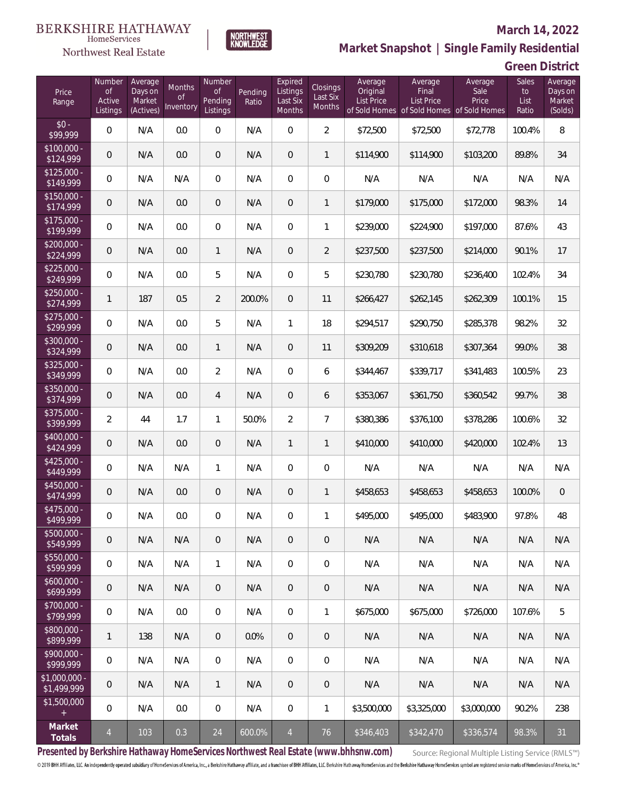### Northwest Real Estate

#### **March 14, 2022**



**Market Snapshot | Single Family Residential**

### **Green District**

| Price<br>Range               | Number<br><b>of</b><br>Active<br>Listings | Average<br>Days on<br>Market<br>(Actives) | Months<br><b>of</b><br>Inventory | Number<br><b>of</b><br>Pending<br>Listings | Pending<br>Ratio | Expired<br>Listings<br>Last Six<br>Months | Closings<br>Last Six<br>Months | Average<br>Original<br><b>List Price</b> | Average<br>Final<br><b>List Price</b><br>of Sold Homes of Sold Homes of Sold Homes | Average<br>Sale<br>Price | Sales<br>to<br>List<br>Ratio | Average<br>Days on<br>Market<br>(Solds) |
|------------------------------|-------------------------------------------|-------------------------------------------|----------------------------------|--------------------------------------------|------------------|-------------------------------------------|--------------------------------|------------------------------------------|------------------------------------------------------------------------------------|--------------------------|------------------------------|-----------------------------------------|
| $$0 -$<br>\$99,999           | $\overline{0}$                            | N/A                                       | 0.0                              | $\overline{0}$                             | N/A              | $\overline{0}$                            | $\overline{2}$                 | \$72,500                                 | \$72,500                                                                           | \$72,778                 | 100.4%                       | 8                                       |
| $$100,000 -$<br>\$124,999    | $\overline{0}$                            | N/A                                       | 0.0                              | $\overline{0}$                             | N/A              | $\overline{0}$                            | $\mathbf{1}$                   | \$114,900                                | \$114,900                                                                          | \$103,200                | 89.8%                        | 34                                      |
| $$125,000 -$<br>\$149,999    | $\overline{0}$                            | N/A                                       | N/A                              | $\overline{0}$                             | N/A              | $\overline{0}$                            | 0                              | N/A                                      | N/A                                                                                | N/A                      | N/A                          | N/A                                     |
| $$150,000 -$<br>\$174,999    | $\overline{0}$                            | N/A                                       | 0.0                              | $\overline{0}$                             | N/A              | $\mathbf 0$                               | 1                              | \$179,000                                | \$175,000                                                                          | \$172,000                | 98.3%                        | 14                                      |
| $$175,000 -$<br>\$199,999    | $\overline{0}$                            | N/A                                       | 0.0                              | $\overline{0}$                             | N/A              | $\overline{0}$                            | 1                              | \$239,000                                | \$224,900                                                                          | \$197,000                | 87.6%                        | 43                                      |
| $$200,000 -$<br>\$224,999    | $\overline{0}$                            | N/A                                       | 0.0                              | $\mathbf{1}$                               | N/A              | $\mathbf 0$                               | $\overline{2}$                 | \$237,500                                | \$237,500                                                                          | \$214,000                | 90.1%                        | 17                                      |
| $$225,000 -$<br>\$249,999    | $\mathbf 0$                               | N/A                                       | 0.0                              | 5                                          | N/A              | $\overline{0}$                            | 5                              | \$230,780                                | \$230,780                                                                          | \$236,400                | 102.4%                       | 34                                      |
| $$250,000 -$<br>\$274,999    | $\mathbf{1}$                              | 187                                       | 0.5                              | $\overline{2}$                             | 200.0%           | $\overline{0}$                            | 11                             | \$266,427                                | \$262,145                                                                          | \$262,309                | 100.1%                       | 15                                      |
| $$275,000 -$<br>\$299,999    | 0                                         | N/A                                       | 0.0                              | 5                                          | N/A              | $\mathbf{1}$                              | 18                             | \$294,517                                | \$290,750                                                                          | \$285,378                | 98.2%                        | 32                                      |
| $$300,000 -$<br>\$324,999    | $\mathbf 0$                               | N/A                                       | 0.0                              | $\mathbf{1}$                               | N/A              | $\overline{0}$                            | 11                             | \$309,209                                | \$310,618                                                                          | \$307,364                | 99.0%                        | 38                                      |
| $$325,000 -$<br>\$349,999    | 0                                         | N/A                                       | 0.0                              | $\overline{2}$                             | N/A              | $\overline{0}$                            | 6                              | \$344,467                                | \$339,717                                                                          | \$341,483                | 100.5%                       | 23                                      |
| $$350,000 -$<br>\$374,999    | $\mathsf{O}\xspace$                       | N/A                                       | 0.0                              | $\overline{4}$                             | N/A              | $\overline{0}$                            | 6                              | \$353,067                                | \$361,750                                                                          | \$360,542                | 99.7%                        | 38                                      |
| $$375,000 -$<br>\$399,999    | $\overline{2}$                            | 44                                        | 1.7                              | $\mathbf{1}$                               | 50.0%            | $\overline{2}$                            | $\overline{7}$                 | \$380,386                                | \$376,100                                                                          | \$378,286                | 100.6%                       | 32                                      |
| $$400,000 -$<br>\$424,999    | $\boldsymbol{0}$                          | N/A                                       | 0.0                              | $\overline{0}$                             | N/A              | $\mathbf{1}$                              | $\mathbf{1}$                   | \$410,000                                | \$410,000                                                                          | \$420,000                | 102.4%                       | 13                                      |
| $$425,000 -$<br>\$449,999    | $\overline{0}$                            | N/A                                       | N/A                              | $\mathbf{1}$                               | N/A              | $\overline{0}$                            | 0                              | N/A                                      | N/A                                                                                | N/A                      | N/A                          | N/A                                     |
| $$450,000 -$<br>\$474,999    | $\overline{0}$                            | N/A                                       | 0.0                              | $\overline{0}$                             | N/A              | $\overline{0}$                            | $\mathbf{1}$                   | \$458,653                                | \$458,653                                                                          | \$458,653                | 100.0%                       | $\overline{0}$                          |
| $$475,000 -$<br>\$499,999    | 0                                         | N/A                                       | 0.0                              | $\overline{0}$                             | N/A              | $\overline{0}$                            | 1                              | \$495,000                                | \$495,000                                                                          | \$483,900                | 97.8%                        | 48                                      |
| \$500,000 -<br>\$549,999     | 0                                         | N/A                                       | N/A                              | $\mathbf 0$                                | N/A              | 0                                         | 0                              | N/A                                      | N/A                                                                                | N/A                      | N/A                          | N/A                                     |
| \$550,000 -<br>\$599,999     | 0                                         | N/A                                       | N/A                              | 1                                          | N/A              | $\boldsymbol{0}$                          | 0                              | N/A                                      | N/A                                                                                | N/A                      | N/A                          | N/A                                     |
| $$600,000 -$<br>\$699,999    | 0                                         | N/A                                       | N/A                              | $\overline{0}$                             | N/A              | $\mathbf 0$                               | 0                              | N/A                                      | N/A                                                                                | N/A                      | N/A                          | N/A                                     |
| \$700,000 -<br>\$799,999     | 0                                         | N/A                                       | 0.0                              | $\mathbf 0$                                | N/A              | $\mathbf 0$                               | 1                              | \$675,000                                | \$675,000                                                                          | \$726,000                | 107.6%                       | 5                                       |
| \$800,000 -<br>\$899,999     | 1                                         | 138                                       | N/A                              | $\sqrt{0}$                                 | 0.0%             | $\mathbf 0$                               | 0                              | N/A                                      | N/A                                                                                | N/A                      | N/A                          | N/A                                     |
| \$900,000 -<br>\$999,999     | 0                                         | N/A                                       | N/A                              | $\mathbf 0$                                | N/A              | $\mathbf 0$                               | 0                              | N/A                                      | N/A                                                                                | N/A                      | N/A                          | N/A                                     |
| \$1,000,000 -<br>\$1,499,999 | $\mathbf 0$                               | N/A                                       | N/A                              | $\mathbf{1}$                               | N/A              | $\overline{0}$                            | 0                              | N/A                                      | N/A                                                                                | N/A                      | N/A                          | N/A                                     |
| \$1,500,000<br>$+$           | $\mathbf 0$                               | N/A                                       | 0.0                              | $\mathbf 0$                                | N/A              | $\mathbf 0$                               | 1                              | \$3,500,000                              | \$3,325,000                                                                        | \$3,000,000              | 90.2%                        | 238                                     |
| Market<br>Totals             | $\overline{4}$                            | 103                                       | 0.3                              | 24                                         | 600.0%           | $\overline{4}$                            | 76                             | \$346,403                                | \$342,470                                                                          | \$336,574                | 98.3%                        | 31                                      |

**Presented by Berkshire Hathaway HomeServices Northwest Real Estate (www.bhhsnw.com)**

Source: Regional Multiple Listing Service (RMLS™)